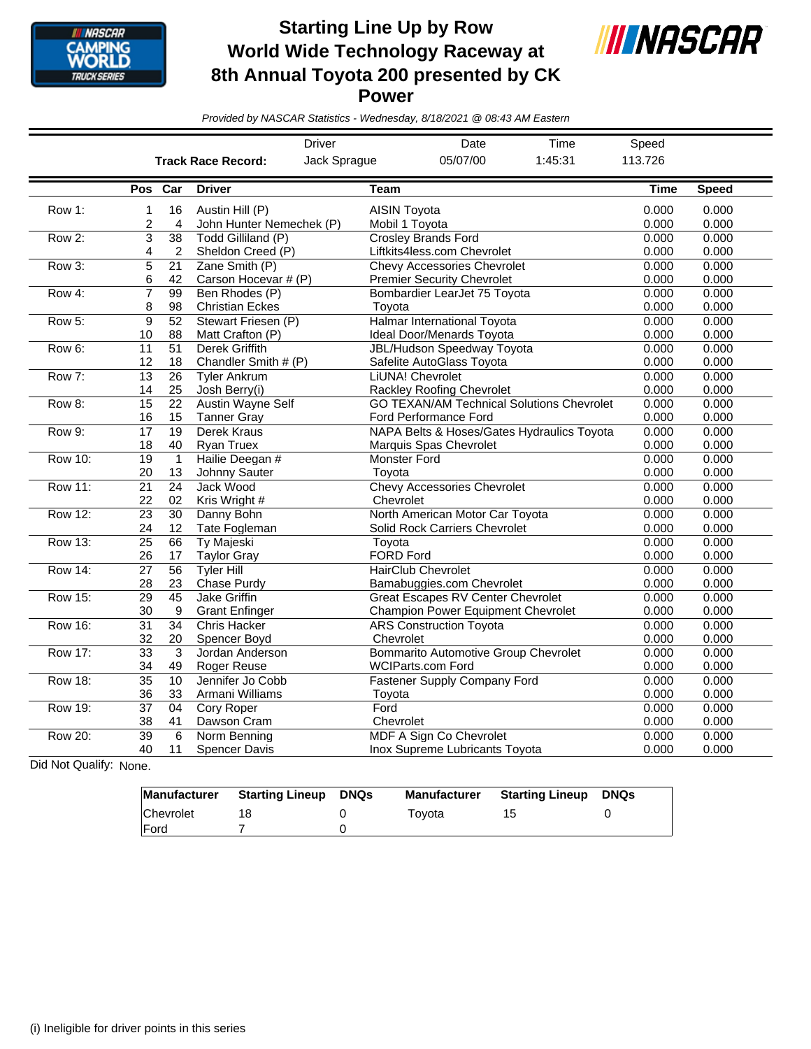

**Starting Line Up by Row World Wide Technology Raceway at 8th Annual Toyota 200 presented by CK Power**



*Provided by NASCAR Statistics - Wednesday, 8/18/2021 @ 08:43 AM Eastern*

|                |                       |                       | <b>Driver</b>                                  |                                       | Date                                                                           | Time                                             | Speed          |                |
|----------------|-----------------------|-----------------------|------------------------------------------------|---------------------------------------|--------------------------------------------------------------------------------|--------------------------------------------------|----------------|----------------|
|                |                       |                       | <b>Track Race Record:</b>                      | Jack Sprague                          | 05/07/00                                                                       | 1:45:31                                          | 113.726        |                |
|                | Pos Car               |                       | <b>Driver</b>                                  | <b>Team</b>                           |                                                                                |                                                  | <b>Time</b>    | <b>Speed</b>   |
| Row 1:         | 1<br>$\overline{c}$   | 16<br>4               | Austin Hill (P)<br>John Hunter Nemechek (P)    | <b>AISIN Toyota</b><br>Mobil 1 Toyota |                                                                                | 0.000<br>0.000                                   | 0.000<br>0.000 |                |
| Row 2:         | 3<br>4                | 38<br>2               | Todd Gilliland (P)<br>Sheldon Creed (P)        |                                       | <b>Crosley Brands Ford</b><br>Liftkits4less.com Chevrolet                      |                                                  | 0.000<br>0.000 | 0.000<br>0.000 |
| Row 3:         | 5<br>6                | $\overline{21}$<br>42 | Zane Smith (P)<br>Carson Hocevar # (P)         |                                       | <b>Chevy Accessories Chevrolet</b><br><b>Premier Security Chevrolet</b>        |                                                  | 0.000<br>0.000 | 0.000<br>0.000 |
| Row 4:         | 7<br>8                | 99<br>98              | Ben Rhodes (P)<br><b>Christian Eckes</b>       | Toyota                                | Bombardier LearJet 75 Toyota                                                   |                                                  | 0.000<br>0.000 | 0.000<br>0.000 |
| Row 5:         | 9<br>10               | 52<br>88              | Stewart Friesen (P)<br>Matt Crafton (P)        |                                       | Halmar International Toyota<br>Ideal Door/Menards Toyota                       |                                                  | 0.000<br>0.000 | 0.000<br>0.000 |
| Row 6:         | 11<br>12              | $\overline{51}$<br>18 | Derek Griffith<br>Chandler Smith # (P)         |                                       | <b>JBL/Hudson Speedway Toyota</b><br>Safelite AutoGlass Toyota                 |                                                  | 0.000<br>0.000 | 0.000<br>0.000 |
| Row 7:         | 13<br>14              | 26<br>25              | <b>Tyler Ankrum</b><br>Josh Berry(i)           |                                       | LiUNA! Chevrolet<br>Rackley Roofing Chevrolet                                  |                                                  | 0.000<br>0.000 | 0.000<br>0.000 |
| Row 8:         | 15<br>16              | 22<br>15              | <b>Austin Wayne Self</b><br><b>Tanner Gray</b> |                                       | Ford Performance Ford                                                          | <b>GO TEXAN/AM Technical Solutions Chevrolet</b> | 0.000<br>0.000 | 0.000<br>0.000 |
| Row 9:         | 17<br>18              | $\overline{19}$<br>40 | Derek Kraus<br>Ryan Truex                      |                                       | Marquis Spas Chevrolet                                                         | NAPA Belts & Hoses/Gates Hydraulics Toyota       | 0.000<br>0.000 | 0.000<br>0.000 |
| <b>Row 10:</b> | $\overline{19}$<br>20 | $\mathbf{1}$<br>13    | Hailie Deegan #<br>Johnny Sauter               | <b>Monster Ford</b><br>Toyota         |                                                                                |                                                  | 0.000<br>0.000 | 0.000<br>0.000 |
| <b>Row 11:</b> | $\overline{21}$<br>22 | 24<br>02              | Jack Wood<br>Kris Wright #                     | Chevrolet                             | <b>Chevy Accessories Chevrolet</b>                                             |                                                  | 0.000<br>0.000 | 0.000<br>0.000 |
| <b>Row 12:</b> | $\overline{23}$<br>24 | $\overline{30}$<br>12 | Danny Bohn<br>Tate Fogleman                    |                                       | North American Motor Car Toyota<br>Solid Rock Carriers Chevrolet               |                                                  | 0.000<br>0.000 | 0.000<br>0.000 |
| <b>Row 13:</b> | $\overline{25}$<br>26 | 66<br>17              | Ty Majeski<br><b>Taylor Gray</b>               | Toyota<br><b>FORD Ford</b>            |                                                                                |                                                  | 0.000<br>0.000 | 0.000<br>0.000 |
| <b>Row 14:</b> | $\overline{27}$<br>28 | 56<br>23              | <b>Tyler Hill</b><br>Chase Purdy               |                                       | <b>HairClub Chevrolet</b><br>Bamabuggies.com Chevrolet                         |                                                  | 0.000<br>0.000 | 0.000<br>0.000 |
| <b>Row 15:</b> | $\overline{29}$<br>30 | $\overline{45}$<br>9  | <b>Jake Griffin</b><br><b>Grant Enfinger</b>   |                                       | <b>Great Escapes RV Center Chevrolet</b><br>Champion Power Equipment Chevrolet |                                                  | 0.000<br>0.000 | 0.000<br>0.000 |
| <b>Row 16:</b> | $\overline{31}$<br>32 | $\overline{34}$<br>20 | <b>Chris Hacker</b><br>Spencer Boyd            | Chevrolet                             | <b>ARS Construction Toyota</b>                                                 |                                                  | 0.000<br>0.000 | 0.000<br>0.000 |
| <b>Row 17:</b> | $\overline{33}$<br>34 | 3<br>49               | Jordan Anderson<br><b>Roger Reuse</b>          |                                       | <b>Bommarito Automotive Group Chevrolet</b><br><b>WCIParts.com Ford</b>        |                                                  | 0.000<br>0.000 | 0.000<br>0.000 |
| <b>Row 18:</b> | $\overline{35}$<br>36 | 10<br>33              | Jennifer Jo Cobb<br>Armani Williams            | Toyota                                | Fastener Supply Company Ford                                                   |                                                  | 0.000<br>0.000 | 0.000<br>0.000 |
| <b>Row 19:</b> | $\overline{37}$<br>38 | 04<br>41              | <b>Cory Roper</b><br>Dawson Cram               | Ford<br>Chevrolet                     |                                                                                |                                                  | 0.000<br>0.000 | 0.000<br>0.000 |
| <b>Row 20:</b> | $\overline{39}$<br>40 | 6<br>11               | Norm Benning<br><b>Spencer Davis</b>           |                                       | <b>MDF A Sign Co Chevrolet</b><br>Inox Supreme Lubricants Toyota               |                                                  | 0.000<br>0.000 | 0.000<br>0.000 |

Did Not Qualify: None.

| Manufacturer | <b>Starting Lineup DNQs</b> | <b>Manufacturer</b> | <b>Starting Lineup</b> | DNQs |
|--------------|-----------------------------|---------------------|------------------------|------|
| Chevrolet    |                             | Tovota              |                        |      |
| <b>IFord</b> |                             |                     |                        |      |